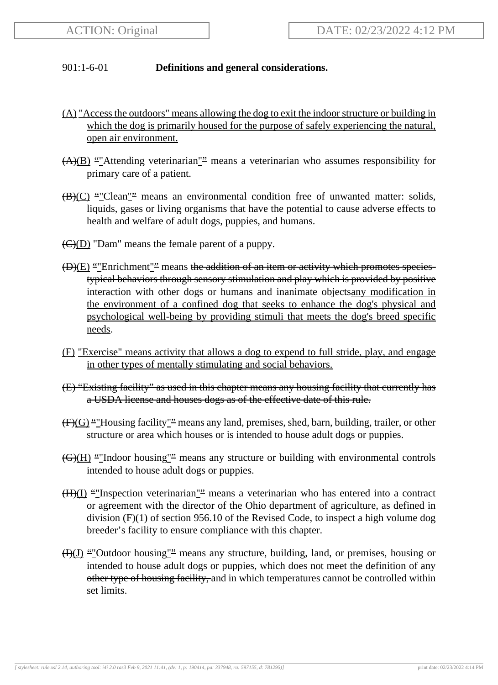## 901:1-6-01 **Definitions and general considerations.**

- (A) "Access the outdoors" means allowing the dog to exit the indoor structure or building in which the dog is primarily housed for the purpose of safely experiencing the natural, open air environment.
- $\overline{(A)(B)}$  ""Attending veterinarian"" means a veterinarian who assumes responsibility for primary care of a patient.
- $(B)(C)$  ""Clean"" means an environmental condition free of unwanted matter: solids, liquids, gases or living organisms that have the potential to cause adverse effects to health and welfare of adult dogs, puppies, and humans.
- $\left(\frac{C}{D}\right)$  "Dam" means the female parent of a puppy.
- $(D)(E)$  ""Enrichment"<sup>2</sup> means the addition of an item or activity which promotes speciestypical behaviors through sensory stimulation and play which is provided by positive interaction with other dogs or humans and inanimate objects any modification in the environment of a confined dog that seeks to enhance the dog's physical and psychological well-being by providing stimuli that meets the dog's breed specific needs.
- (F) "Exercise" means activity that allows a dog to expend to full stride, play, and engage in other types of mentally stimulating and social behaviors.
- (E) "Existing facility" as used in this chapter means any housing facility that currently has a USDA license and houses dogs as of the effective date of this rule.
- $(F)(G)$  ""Housing facility"<sup>"</sup> means any land, premises, shed, barn, building, trailer, or other structure or area which houses or is intended to house adult dogs or puppies.
- $\overline{(G)(H)}$  "Indoor housing"" means any structure or building with environmental controls intended to house adult dogs or puppies.
- $(H)(I)$  "Inspection veterinarian" means a veterinarian who has entered into a contract or agreement with the director of the Ohio department of agriculture, as defined in division (F)(1) of section 956.10 of the Revised Code, to inspect a high volume dog breeder's facility to ensure compliance with this chapter.
- $(H)(J)$  ""Outdoor housing"" means any structure, building, land, or premises, housing or intended to house adult dogs or puppies, which does not meet the definition of any other type of housing facility, and in which temperatures cannot be controlled within set limits.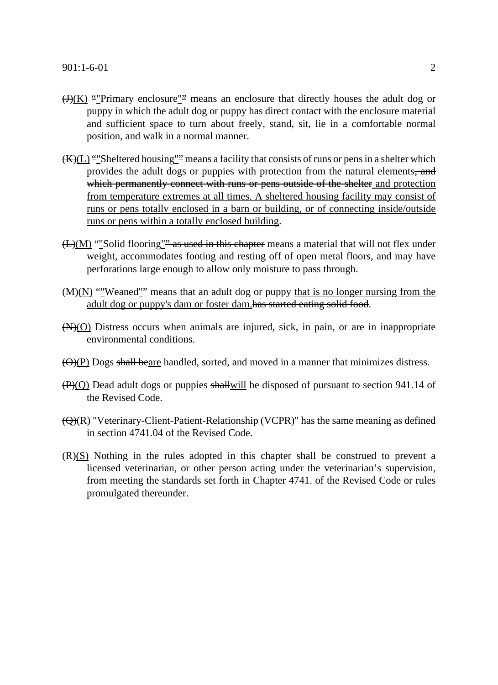- $\frac{H(K)}{H(N)}$  ""Primary enclosure"" means an enclosure that directly houses the adult dog or puppy in which the adult dog or puppy has direct contact with the enclosure material and sufficient space to turn about freely, stand, sit, lie in a comfortable normal position, and walk in a normal manner.
- $(\overline{K})(L)$  ""Sheltered housing"" means a facility that consists of runs or pens in a shelter which provides the adult dogs or puppies with protection from the natural elements, and which permanently connect with runs or pens outside of the shelter and protection from temperature extremes at all times. A sheltered housing facility may consist of runs or pens totally enclosed in a barn or building, or of connecting inside/outside runs or pens within a totally enclosed building.
- $(L)(M)$  "Solid flooring" as used in this chapter means a material that will not flex under weight, accommodates footing and resting off of open metal floors, and may have perforations large enough to allow only moisture to pass through.
- $(M)(N)$  "Weaned"<sup>2</sup> means that an adult dog or puppy that is no longer nursing from the adult dog or puppy's dam or foster dam.has started eating solid food.
- $(N)(O)$  Distress occurs when animals are injured, sick, in pain, or are in inappropriate environmental conditions.
- $\left(\Theta\right)\left(P\right)$  Dogs shall beare handled, sorted, and moved in a manner that minimizes distress.
- $(\overline{P})(Q)$  Dead adult dogs or puppies shallwill be disposed of pursuant to section 941.14 of the Revised Code.
- $\left(\frac{\Theta}{R}\right)$  "Veterinary-Client-Patient-Relationship (VCPR)" has the same meaning as defined in section 4741.04 of the Revised Code.
- $(R)(S)$  Nothing in the rules adopted in this chapter shall be construed to prevent a licensed veterinarian, or other person acting under the veterinarian's supervision, from meeting the standards set forth in Chapter 4741. of the Revised Code or rules promulgated thereunder.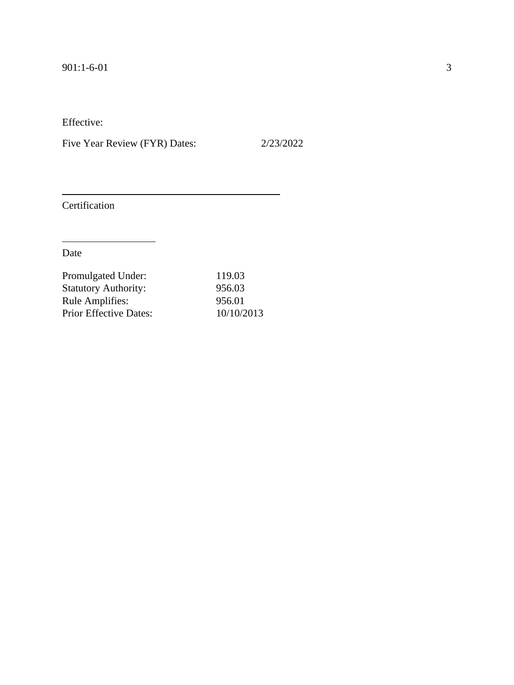Five Year Review (FYR) Dates: 2/23/2022

Certification

| Promulgated Under:            | 119.03     |
|-------------------------------|------------|
| <b>Statutory Authority:</b>   | 956.03     |
| <b>Rule Amplifies:</b>        | 956.01     |
| <b>Prior Effective Dates:</b> | 10/10/2013 |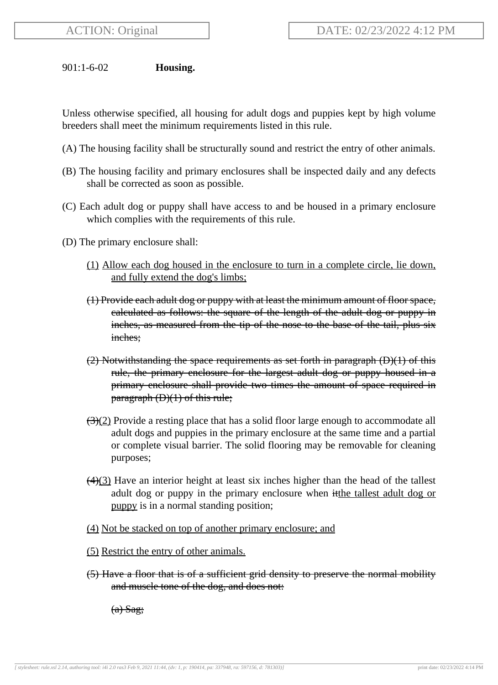901:1-6-02 **Housing.**

Unless otherwise specified, all housing for adult dogs and puppies kept by high volume breeders shall meet the minimum requirements listed in this rule.

- (A) The housing facility shall be structurally sound and restrict the entry of other animals.
- (B) The housing facility and primary enclosures shall be inspected daily and any defects shall be corrected as soon as possible.
- (C) Each adult dog or puppy shall have access to and be housed in a primary enclosure which complies with the requirements of this rule.
- (D) The primary enclosure shall:
	- (1) Allow each dog housed in the enclosure to turn in a complete circle, lie down, and fully extend the dog's limbs;
	- (1) Provide each adult dog or puppy with at least the minimum amount of floor space, calculated as follows: the square of the length of the adult dog or puppy in inches, as measured from the tip of the nose to the base of the tail, plus six inches;
	- (2) Notwithstanding the space requirements as set forth in paragraph (D)(1) of this rule, the primary enclosure for the largest adult dog or puppy housed in a primary enclosure shall provide two times the amount of space required in paragraph (D)(1) of this rule;
	- $\left(\frac{3}{2}\right)$  Provide a resting place that has a solid floor large enough to accommodate all adult dogs and puppies in the primary enclosure at the same time and a partial or complete visual barrier. The solid flooring may be removable for cleaning purposes;
	- $\left(\frac{4}{3}\right)$  Have an interior height at least six inches higher than the head of the tallest adult dog or puppy in the primary enclosure when itthe tallest adult dog or puppy is in a normal standing position;
	- (4) Not be stacked on top of another primary enclosure; and
	- (5) Restrict the entry of other animals.
	- (5) Have a floor that is of a sufficient grid density to preserve the normal mobility and muscle tone of the dog, and does not:

(a) Sag;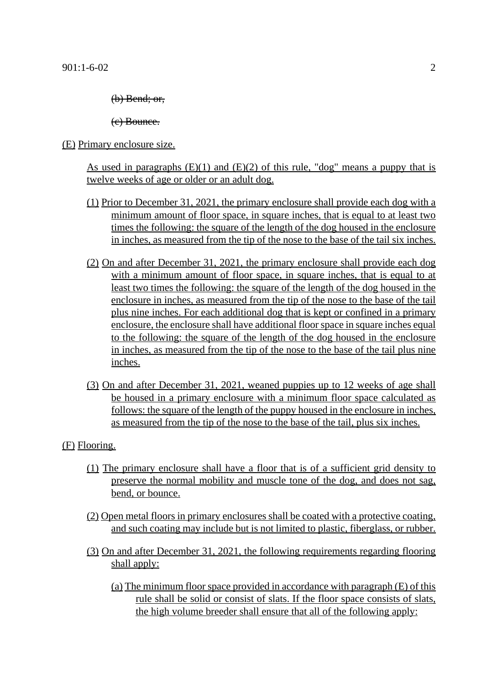(b) Bend; or,

(c) Bounce.

```
(E) Primary enclosure size.
```
As used in paragraphs  $(E)(1)$  and  $(E)(2)$  of this rule, "dog" means a puppy that is twelve weeks of age or older or an adult dog.

- (1) Prior to December 31, 2021, the primary enclosure shall provide each dog with a minimum amount of floor space, in square inches, that is equal to at least two times the following: the square of the length of the dog housed in the enclosure in inches, as measured from the tip of the nose to the base of the tail six inches.
- (2) On and after December 31, 2021, the primary enclosure shall provide each dog with a minimum amount of floor space, in square inches, that is equal to at least two times the following: the square of the length of the dog housed in the enclosure in inches, as measured from the tip of the nose to the base of the tail plus nine inches. For each additional dog that is kept or confined in a primary enclosure, the enclosure shall have additional floor space in square inches equal to the following: the square of the length of the dog housed in the enclosure in inches, as measured from the tip of the nose to the base of the tail plus nine inches.
- (3) On and after December 31, 2021, weaned puppies up to 12 weeks of age shall be housed in a primary enclosure with a minimum floor space calculated as follows: the square of the length of the puppy housed in the enclosure in inches, as measured from the tip of the nose to the base of the tail, plus six inches.

# (F) Flooring.

- (1) The primary enclosure shall have a floor that is of a sufficient grid density to preserve the normal mobility and muscle tone of the dog, and does not sag, bend, or bounce.
- (2) Open metal floors in primary enclosures shall be coated with a protective coating, and such coating may include but is not limited to plastic, fiberglass, or rubber.
- (3) On and after December 31, 2021, the following requirements regarding flooring shall apply:
	- (a) The minimum floor space provided in accordance with paragraph (E) of this rule shall be solid or consist of slats. If the floor space consists of slats, the high volume breeder shall ensure that all of the following apply: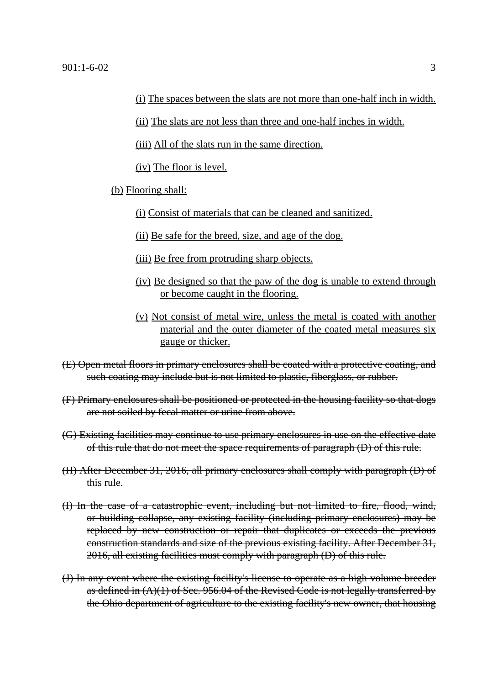(ii) The slats are not less than three and one-half inches in width.

(iii) All of the slats run in the same direction.

(iv) The floor is level.

### (b) Flooring shall:

- (i) Consist of materials that can be cleaned and sanitized.
- (ii) Be safe for the breed, size, and age of the dog.
- (iii) Be free from protruding sharp objects.
- (iv) Be designed so that the paw of the dog is unable to extend through or become caught in the flooring.
- (v) Not consist of metal wire, unless the metal is coated with another material and the outer diameter of the coated metal measures six gauge or thicker.
- (E) Open metal floors in primary enclosures shall be coated with a protective coating, and such coating may include but is not limited to plastic, fiberglass, or rubber.
- (F) Primary enclosures shall be positioned or protected in the housing facility so that dogs are not soiled by fecal matter or urine from above.
- (G) Existing facilities may continue to use primary enclosures in use on the effective date of this rule that do not meet the space requirements of paragraph (D) of this rule.
- (H) After December 31, 2016, all primary enclosures shall comply with paragraph (D) of this rule.
- (I) In the case of a catastrophic event, including but not limited to fire, flood, wind, or building collapse, any existing facility (including primary enclosures) may be replaced by new construction or repair that duplicates or exceeds the previous construction standards and size of the previous existing facility. After December 31, 2016, all existing facilities must comply with paragraph (D) of this rule.
- (J) In any event where the existing facility's license to operate as a high volume breeder as defined in  $(A)(1)$  of Sec. 956.04 of the Revised Code is not legally transferred by the Ohio department of agriculture to the existing facility's new owner, that housing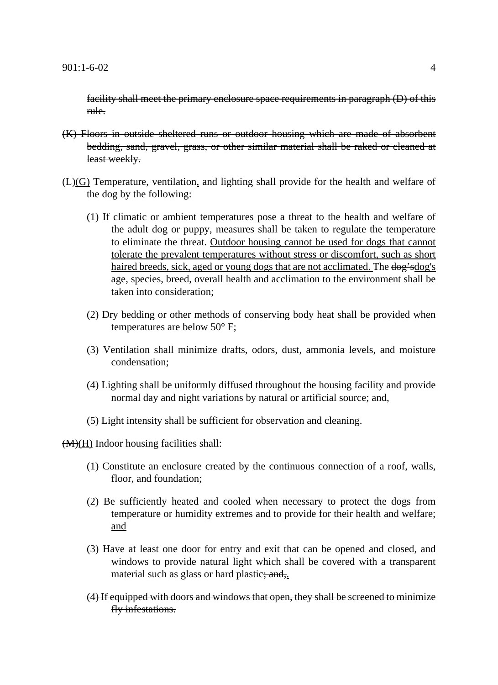facility shall meet the primary enclosure space requirements in paragraph (D) of this rule.

- (K) Floors in outside sheltered runs or outdoor housing which are made of absorbent bedding, sand, gravel, grass, or other similar material shall be raked or cleaned at least weekly.
- (L)(G) Temperature, ventilation, and lighting shall provide for the health and welfare of the dog by the following:
	- (1) If climatic or ambient temperatures pose a threat to the health and welfare of the adult dog or puppy, measures shall be taken to regulate the temperature to eliminate the threat. Outdoor housing cannot be used for dogs that cannot tolerate the prevalent temperatures without stress or discomfort, such as short haired breeds, sick, aged or young dogs that are not acclimated. The dog's dog's age, species, breed, overall health and acclimation to the environment shall be taken into consideration;
	- (2) Dry bedding or other methods of conserving body heat shall be provided when temperatures are below 50° F;
	- (3) Ventilation shall minimize drafts, odors, dust, ammonia levels, and moisture condensation;
	- (4) Lighting shall be uniformly diffused throughout the housing facility and provide normal day and night variations by natural or artificial source; and,
	- (5) Light intensity shall be sufficient for observation and cleaning.

 $\left(\frac{M}{H}\right)$  Indoor housing facilities shall:

- (1) Constitute an enclosure created by the continuous connection of a roof, walls, floor, and foundation;
- (2) Be sufficiently heated and cooled when necessary to protect the dogs from temperature or humidity extremes and to provide for their health and welfare; and
- (3) Have at least one door for entry and exit that can be opened and closed, and windows to provide natural light which shall be covered with a transparent material such as glass or hard plastic; and,
- (4) If equipped with doors and windows that open, they shall be screened to minimize fly infestations.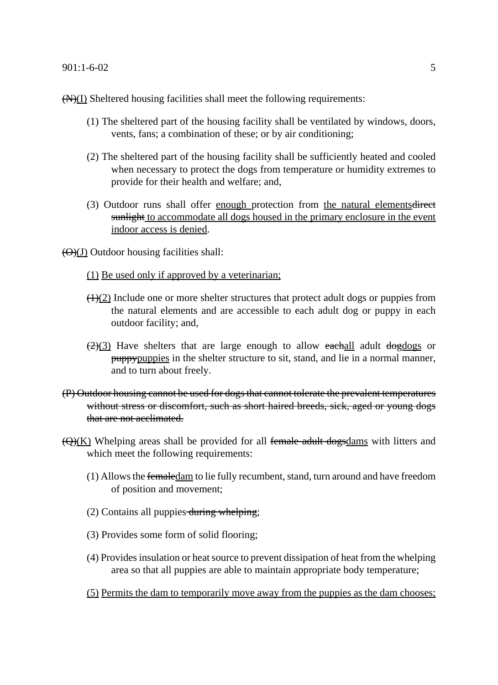### 901:1-6-02 5

 $(N)(I)$  Sheltered housing facilities shall meet the following requirements:

- (1) The sheltered part of the housing facility shall be ventilated by windows, doors, vents, fans; a combination of these; or by air conditioning;
- (2) The sheltered part of the housing facility shall be sufficiently heated and cooled when necessary to protect the dogs from temperature or humidity extremes to provide for their health and welfare; and,
- (3) Outdoor runs shall offer enough protection from the natural elementsdirect sunlight to accommodate all dogs housed in the primary enclosure in the event indoor access is denied.

 $\left(\frac{\Theta}{J}\right)$  Outdoor housing facilities shall:

- (1) Be used only if approved by a veterinarian;
- $\left(\frac{1}{2}\right)$  Include one or more shelter structures that protect adult dogs or puppies from the natural elements and are accessible to each adult dog or puppy in each outdoor facility; and,
- $\left(\frac{2}{3}\right)$  Have shelters that are large enough to allow eachall adult dogdogs or puppypuppies in the shelter structure to sit, stand, and lie in a normal manner, and to turn about freely.
- (P) Outdoor housing cannot be used for dogs that cannot tolerate the prevalent temperatures without stress or discomfort, such as short haired breeds, sick, aged or young dogs that are not acclimated.
- $(\Theta)(K)$  Whelping areas shall be provided for all female adult dogsdams with litters and which meet the following requirements:
	- (1) Allows the femaledam to lie fully recumbent, stand, turn around and have freedom of position and movement;
	- $(2)$  Contains all puppies during whelping;
	- (3) Provides some form of solid flooring;
	- (4) Provides insulation or heat source to prevent dissipation of heat from the whelping area so that all puppies are able to maintain appropriate body temperature;
	- (5) Permits the dam to temporarily move away from the puppies as the dam chooses;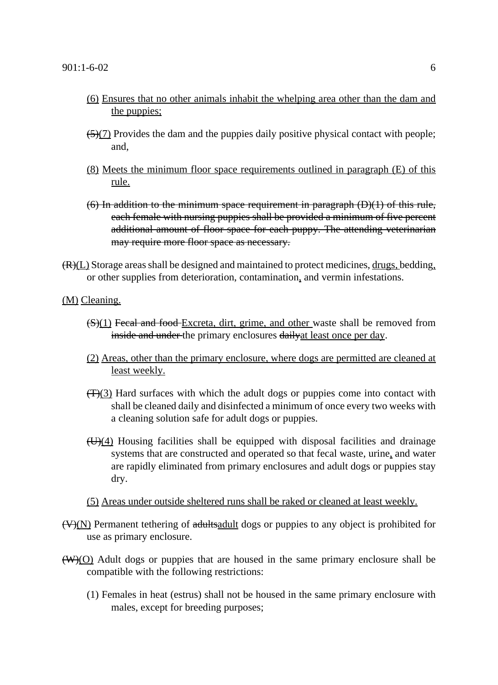- (6) Ensures that no other animals inhabit the whelping area other than the dam and the puppies;
- $\left(\frac{5}{2}\right)$  Provides the dam and the puppies daily positive physical contact with people; and,
- (8) Meets the minimum floor space requirements outlined in paragraph (E) of this rule.
- $(6)$  In addition to the minimum space requirement in paragraph  $(D)(1)$  of this rule, each female with nursing puppies shall be provided a minimum of five percent additional amount of floor space for each puppy. The attending veterinarian may require more floor space as necessary.
- $(R)(L)$  Storage areas shall be designed and maintained to protect medicines,  $drugs$ , bedding, or other supplies from deterioration, contamination, and vermin infestations.

(M) Cleaning.

- $(S)(1)$  Fecal and food Excreta, dirt, grime, and other waste shall be removed from inside and under the primary enclosures daily at least once per day.
- (2) Areas, other than the primary enclosure, where dogs are permitted are cleaned at least weekly.
- $(\overline{T})(3)$  Hard surfaces with which the adult dogs or puppies come into contact with shall be cleaned daily and disinfected a minimum of once every two weeks with a cleaning solution safe for adult dogs or puppies.
- $H_{\text{H}}(4)$  Housing facilities shall be equipped with disposal facilities and drainage systems that are constructed and operated so that fecal waste, urine, and water are rapidly eliminated from primary enclosures and adult dogs or puppies stay dry.

(5) Areas under outside sheltered runs shall be raked or cleaned at least weekly.

- $(V)(N)$  Permanent tethering of adults adulted dogs or puppies to any object is prohibited for use as primary enclosure.
- $(W)(O)$  Adult dogs or puppies that are housed in the same primary enclosure shall be compatible with the following restrictions:
	- (1) Females in heat (estrus) shall not be housed in the same primary enclosure with males, except for breeding purposes;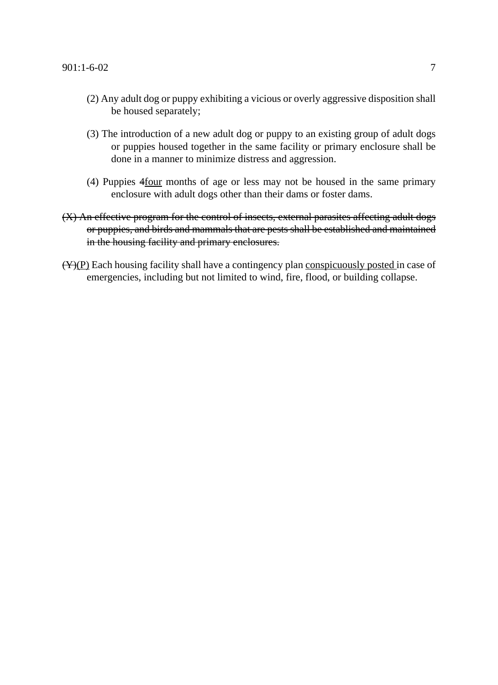- (2) Any adult dog or puppy exhibiting a vicious or overly aggressive disposition shall be housed separately;
- (3) The introduction of a new adult dog or puppy to an existing group of adult dogs or puppies housed together in the same facility or primary enclosure shall be done in a manner to minimize distress and aggression.
- (4) Puppies 4four months of age or less may not be housed in the same primary enclosure with adult dogs other than their dams or foster dams.
- (X) An effective program for the control of insects, external parasites affecting adult dogs or puppies, and birds and mammals that are pests shall be established and maintained in the housing facility and primary enclosures.
- $(\overline{Y})(P)$  Each housing facility shall have a contingency plan conspicuously posted in case of emergencies, including but not limited to wind, fire, flood, or building collapse.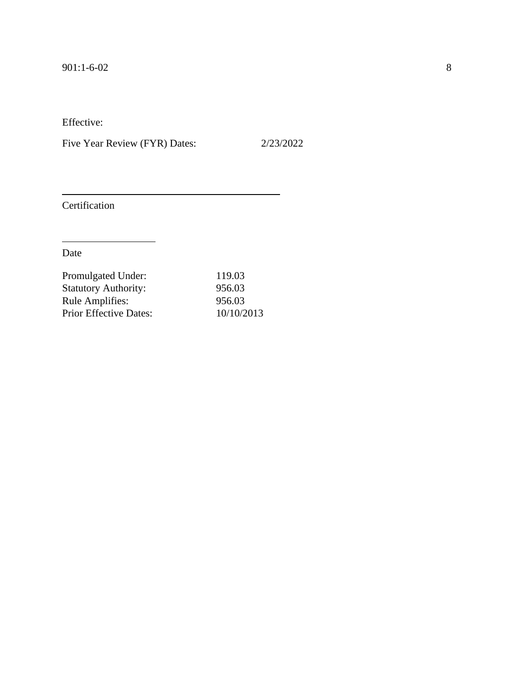Five Year Review (FYR) Dates: 2/23/2022

Certification

| Promulgated Under:            | 119.03     |
|-------------------------------|------------|
| <b>Statutory Authority:</b>   | 956.03     |
| <b>Rule Amplifies:</b>        | 956.03     |
| <b>Prior Effective Dates:</b> | 10/10/2013 |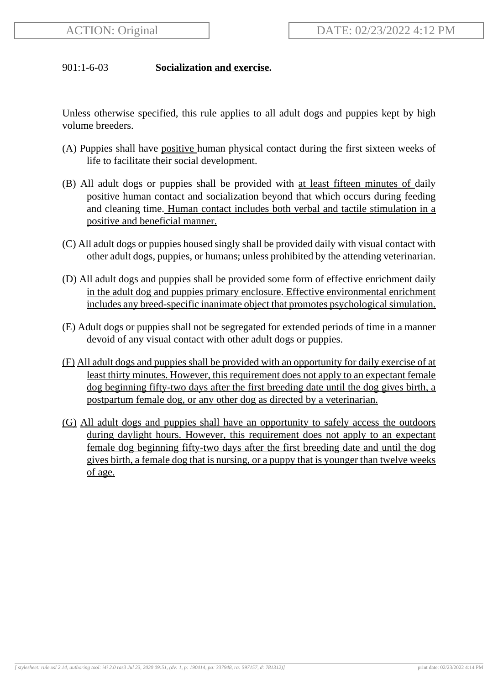# 901:1-6-03 **Socialization and exercise.**

Unless otherwise specified, this rule applies to all adult dogs and puppies kept by high volume breeders.

- (A) Puppies shall have positive human physical contact during the first sixteen weeks of life to facilitate their social development.
- (B) All adult dogs or puppies shall be provided with at least fifteen minutes of daily positive human contact and socialization beyond that which occurs during feeding and cleaning time. Human contact includes both verbal and tactile stimulation in a positive and beneficial manner.
- (C) All adult dogs or puppies housed singly shall be provided daily with visual contact with other adult dogs, puppies, or humans; unless prohibited by the attending veterinarian.
- (D) All adult dogs and puppies shall be provided some form of effective enrichment daily in the adult dog and puppies primary enclosure. Effective environmental enrichment includes any breed-specific inanimate object that promotes psychological simulation.
- (E) Adult dogs or puppies shall not be segregated for extended periods of time in a manner devoid of any visual contact with other adult dogs or puppies.
- (F) All adult dogs and puppies shall be provided with an opportunity for daily exercise of at least thirty minutes. However, this requirement does not apply to an expectant female dog beginning fifty-two days after the first breeding date until the dog gives birth, a postpartum female dog, or any other dog as directed by a veterinarian.
- (G) All adult dogs and puppies shall have an opportunity to safely access the outdoors during daylight hours. However, this requirement does not apply to an expectant female dog beginning fifty-two days after the first breeding date and until the dog gives birth, a female dog that is nursing, or a puppy that is younger than twelve weeks of age.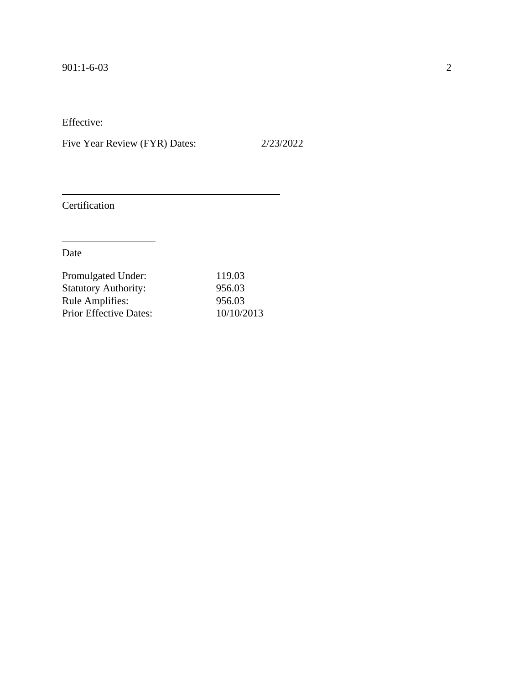Five Year Review (FYR) Dates: 2/23/2022

Certification

| Promulgated Under:            | 119.03     |
|-------------------------------|------------|
| <b>Statutory Authority:</b>   | 956.03     |
| <b>Rule Amplifies:</b>        | 956.03     |
| <b>Prior Effective Dates:</b> | 10/10/2013 |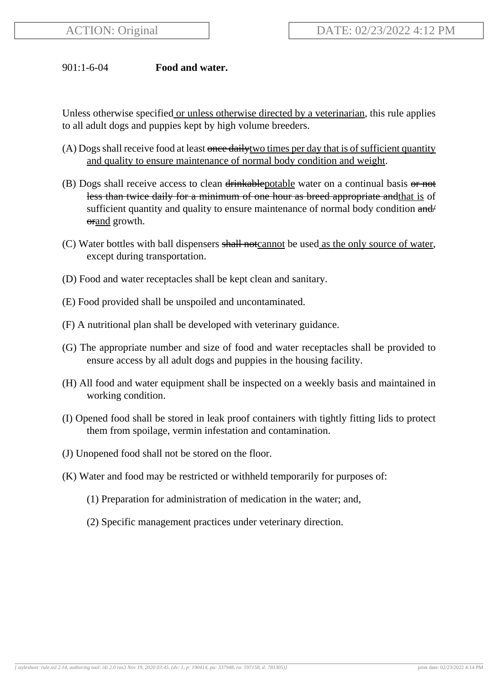## 901:1-6-04 **Food and water.**

Unless otherwise specified or unless otherwise directed by a veterinarian, this rule applies to all adult dogs and puppies kept by high volume breeders.

- (A) Dogs shall receive food at least once daily two times per day that is of sufficient quantity and quality to ensure maintenance of normal body condition and weight.
- (B) Dogs shall receive access to clean  $\frac{drinkablepotable}{dt}$  water on a continual basis  $\frac{dr}{dt}$ less than twice daily for a minimum of one hour as breed appropriate and that is of sufficient quantity and quality to ensure maintenance of normal body condition and/ orand growth.
- (C) Water bottles with ball dispensers shall notcannot be used as the only source of water, except during transportation.
- (D) Food and water receptacles shall be kept clean and sanitary.
- (E) Food provided shall be unspoiled and uncontaminated.
- (F) A nutritional plan shall be developed with veterinary guidance.
- (G) The appropriate number and size of food and water receptacles shall be provided to ensure access by all adult dogs and puppies in the housing facility.
- (H) All food and water equipment shall be inspected on a weekly basis and maintained in working condition.
- (I) Opened food shall be stored in leak proof containers with tightly fitting lids to protect them from spoilage, vermin infestation and contamination.
- (J) Unopened food shall not be stored on the floor.
- (K) Water and food may be restricted or withheld temporarily for purposes of:
	- (1) Preparation for administration of medication in the water; and,
	- (2) Specific management practices under veterinary direction.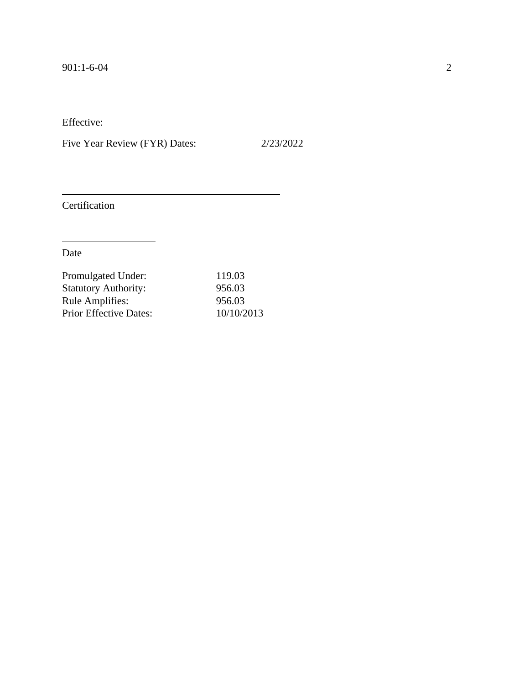Five Year Review (FYR) Dates: 2/23/2022

Certification

| Promulgated Under:            | 119.03     |
|-------------------------------|------------|
| <b>Statutory Authority:</b>   | 956.03     |
| <b>Rule Amplifies:</b>        | 956.03     |
| <b>Prior Effective Dates:</b> | 10/10/2013 |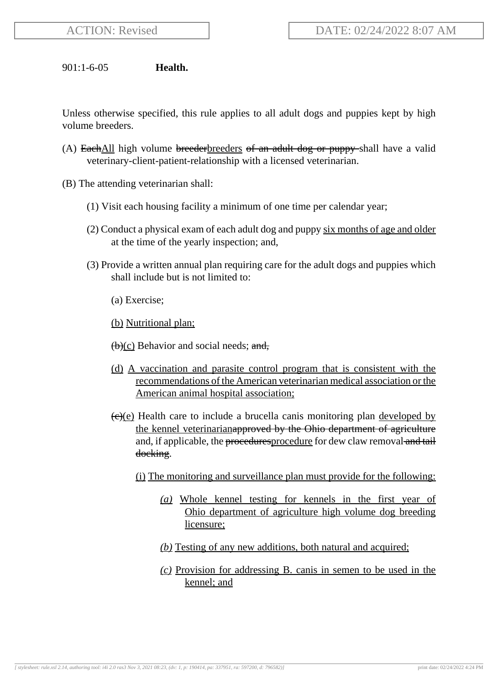901:1-6-05 **Health.**

Unless otherwise specified, this rule applies to all adult dogs and puppies kept by high volume breeders.

- (A) Each All high volume breeder breeders of an adult dog or puppy shall have a valid veterinary-client-patient-relationship with a licensed veterinarian.
- (B) The attending veterinarian shall:
	- (1) Visit each housing facility a minimum of one time per calendar year;
	- (2) Conduct a physical exam of each adult dog and puppy six months of age and older at the time of the yearly inspection; and,
	- (3) Provide a written annual plan requiring care for the adult dogs and puppies which shall include but is not limited to:
		- (a) Exercise;
		- (b) Nutritional plan;
		- $(b)(c)$  Behavior and social needs; and,
		- (d) A vaccination and parasite control program that is consistent with the recommendations of the American veterinarian medical association or the American animal hospital association;
		- $(e)(e)$  Health care to include a brucella canis monitoring plan developed by the kennel veterinarianapproved by the Ohio department of agriculture and, if applicable, the procedures procedure for dew claw removal and tail docking.
			- (i) The monitoring and surveillance plan must provide for the following:
				- *(a)* Whole kennel testing for kennels in the first year of Ohio department of agriculture high volume dog breeding licensure;
				- *(b)* Testing of any new additions, both natural and acquired;
				- *(c)* Provision for addressing B. canis in semen to be used in the kennel; and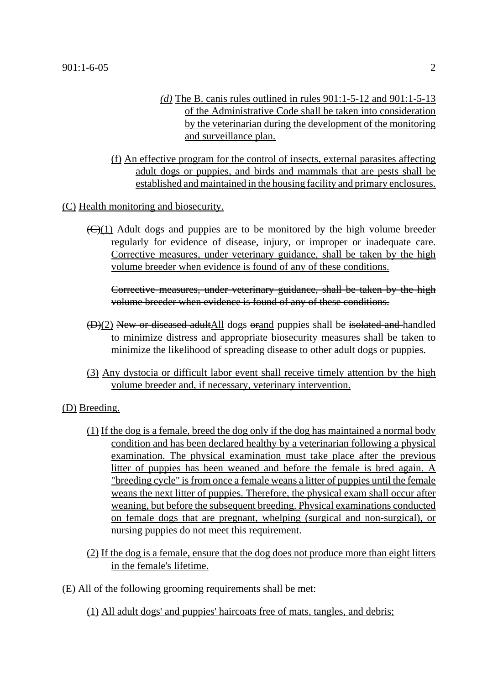- *(d)* The B. canis rules outlined in rules 901:1-5-12 and 901:1-5-13 of the Administrative Code shall be taken into consideration by the veterinarian during the development of the monitoring and surveillance plan.
- (f) An effective program for the control of insects, external parasites affecting adult dogs or puppies, and birds and mammals that are pests shall be established and maintained in the housing facility and primary enclosures.

(C) Health monitoring and biosecurity.

 $(\Theta(1))$  Adult dogs and puppies are to be monitored by the high volume breeder regularly for evidence of disease, injury, or improper or inadequate care. Corrective measures, under veterinary guidance, shall be taken by the high volume breeder when evidence is found of any of these conditions.

Corrective measures, under veterinary guidance, shall be taken by the high volume breeder when evidence is found of any of these conditions.

- (D)(2) New or diseased adultAll dogs orand puppies shall be isolated and handled to minimize distress and appropriate biosecurity measures shall be taken to minimize the likelihood of spreading disease to other adult dogs or puppies.
- (3) Any dystocia or difficult labor event shall receive timely attention by the high volume breeder and, if necessary, veterinary intervention.

(D) Breeding.

- (1) If the dog is a female, breed the dog only if the dog has maintained a normal body condition and has been declared healthy by a veterinarian following a physical examination. The physical examination must take place after the previous litter of puppies has been weaned and before the female is bred again. A "breeding cycle" is from once a female weans a litter of puppies until the female weans the next litter of puppies. Therefore, the physical exam shall occur after weaning, but before the subsequent breeding. Physical examinations conducted on female dogs that are pregnant, whelping (surgical and non-surgical), or nursing puppies do not meet this requirement.
- (2) If the dog is a female, ensure that the dog does not produce more than eight litters in the female's lifetime.
- (E) All of the following grooming requirements shall be met:
	- (1) All adult dogs' and puppies' haircoats free of mats, tangles, and debris;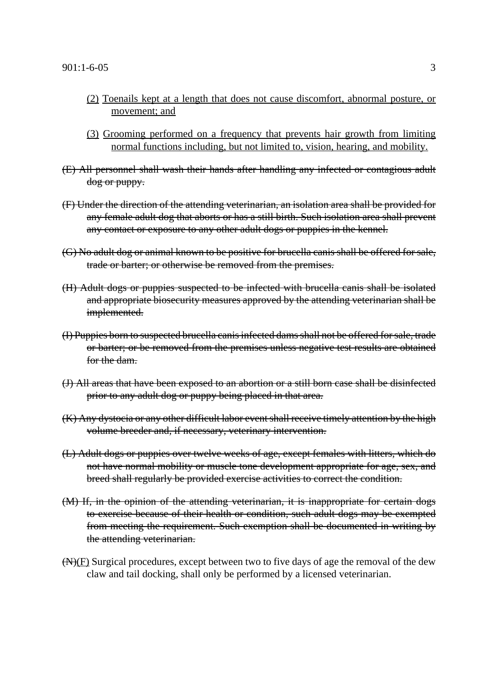- (2) Toenails kept at a length that does not cause discomfort, abnormal posture, or movement; and
- (3) Grooming performed on a frequency that prevents hair growth from limiting normal functions including, but not limited to, vision, hearing, and mobility.
- (E) All personnel shall wash their hands after handling any infected or contagious adult dog or puppy.
- (F) Under the direction of the attending veterinarian, an isolation area shall be provided for any female adult dog that aborts or has a still birth. Such isolation area shall prevent any contact or exposure to any other adult dogs or puppies in the kennel.
- (G) No adult dog or animal known to be positive for brucella canis shall be offered for sale, trade or barter; or otherwise be removed from the premises.
- (H) Adult dogs or puppies suspected to be infected with brucella canis shall be isolated and appropriate biosecurity measures approved by the attending veterinarian shall be implemented.
- (I) Puppies born to suspected brucella canis infected dams shall not be offered for sale, trade or barter; or be removed from the premises unless negative test results are obtained for the dam.
- (J) All areas that have been exposed to an abortion or a still born case shall be disinfected prior to any adult dog or puppy being placed in that area.
- (K) Any dystocia or any other difficult labor event shall receive timely attention by the high volume breeder and, if necessary, veterinary intervention.
- (L) Adult dogs or puppies over twelve weeks of age, except females with litters, which do not have normal mobility or muscle tone development appropriate for age, sex, and breed shall regularly be provided exercise activities to correct the condition.
- (M) If, in the opinion of the attending veterinarian, it is inappropriate for certain dogs to exercise because of their health or condition, such adult dogs may be exempted from meeting the requirement. Such exemption shall be documented in writing by the attending veterinarian.
- $(H)(F)$  Surgical procedures, except between two to five days of age the removal of the dew claw and tail docking, shall only be performed by a licensed veterinarian.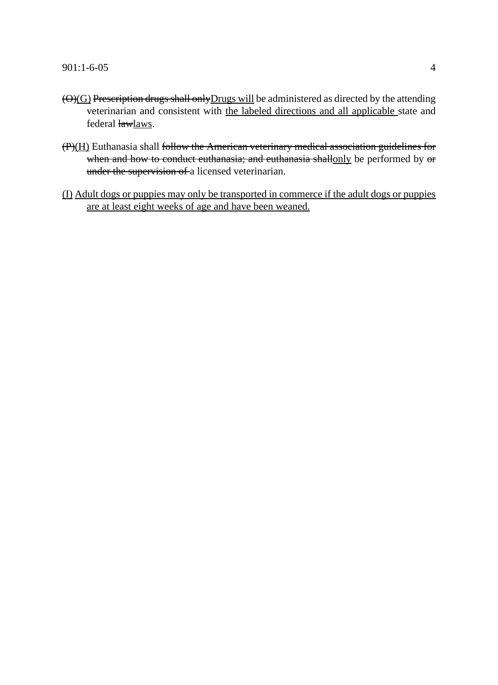- $\Theta$ (G) Prescription drugs shall only Drugs will be administered as directed by the attending veterinarian and consistent with the labeled directions and all applicable state and federal lawlaws.
- (P)(H) Euthanasia shall follow the American veterinary medical association guidelines for when and how to conduct cuthanasia; and cuthanasia shallonly be performed by or under the supervision of a licensed veterinarian.
- (I) Adult dogs or puppies may only be transported in commerce if the adult dogs or puppies are at least eight weeks of age and have been weaned.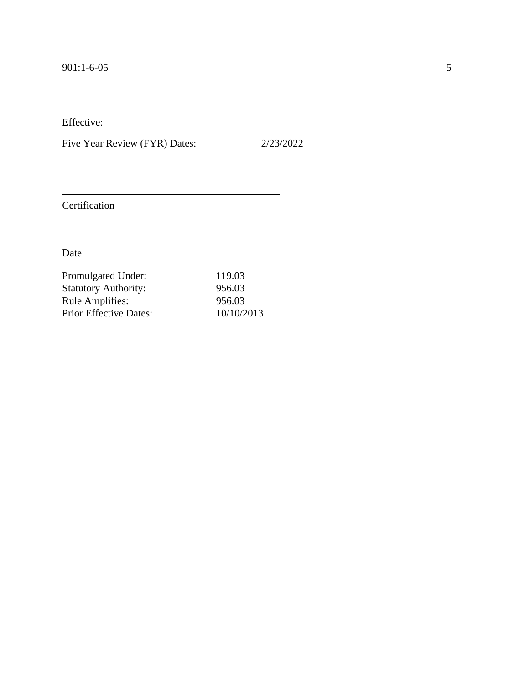Five Year Review (FYR) Dates: 2/23/2022

Certification

| Promulgated Under:            | 119.03     |
|-------------------------------|------------|
| <b>Statutory Authority:</b>   | 956.03     |
| <b>Rule Amplifies:</b>        | 956.03     |
| <b>Prior Effective Dates:</b> | 10/10/2013 |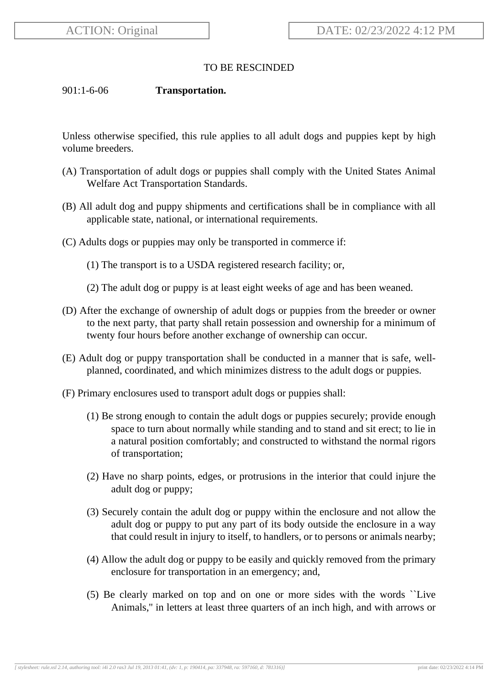## TO BE RESCINDED

## 901:1-6-06 **Transportation.**

Unless otherwise specified, this rule applies to all adult dogs and puppies kept by high volume breeders.

- (A) Transportation of adult dogs or puppies shall comply with the United States Animal Welfare Act Transportation Standards.
- (B) All adult dog and puppy shipments and certifications shall be in compliance with all applicable state, national, or international requirements.
- (C) Adults dogs or puppies may only be transported in commerce if:
	- (1) The transport is to a USDA registered research facility; or,
	- (2) The adult dog or puppy is at least eight weeks of age and has been weaned.
- (D) After the exchange of ownership of adult dogs or puppies from the breeder or owner to the next party, that party shall retain possession and ownership for a minimum of twenty four hours before another exchange of ownership can occur.
- (E) Adult dog or puppy transportation shall be conducted in a manner that is safe, wellplanned, coordinated, and which minimizes distress to the adult dogs or puppies.
- (F) Primary enclosures used to transport adult dogs or puppies shall:
	- (1) Be strong enough to contain the adult dogs or puppies securely; provide enough space to turn about normally while standing and to stand and sit erect; to lie in a natural position comfortably; and constructed to withstand the normal rigors of transportation;
	- (2) Have no sharp points, edges, or protrusions in the interior that could injure the adult dog or puppy;
	- (3) Securely contain the adult dog or puppy within the enclosure and not allow the adult dog or puppy to put any part of its body outside the enclosure in a way that could result in injury to itself, to handlers, or to persons or animals nearby;
	- (4) Allow the adult dog or puppy to be easily and quickly removed from the primary enclosure for transportation in an emergency; and,
	- (5) Be clearly marked on top and on one or more sides with the words ``Live Animals,'' in letters at least three quarters of an inch high, and with arrows or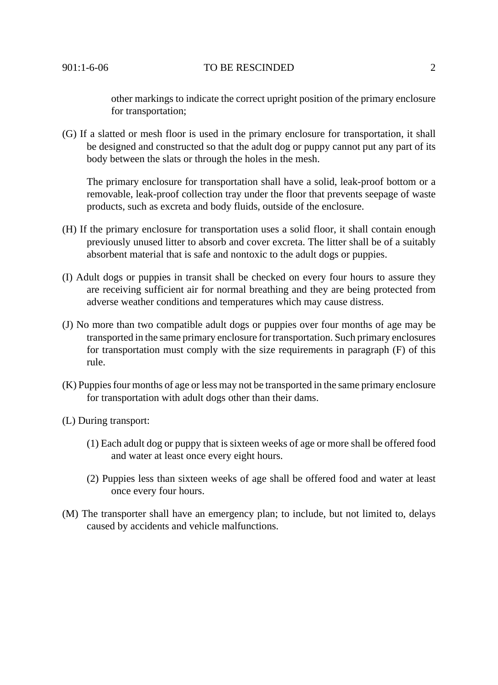901:1-6-06 TO BE RESCINDED 2

other markings to indicate the correct upright position of the primary enclosure for transportation;

(G) If a slatted or mesh floor is used in the primary enclosure for transportation, it shall be designed and constructed so that the adult dog or puppy cannot put any part of its body between the slats or through the holes in the mesh.

The primary enclosure for transportation shall have a solid, leak-proof bottom or a removable, leak-proof collection tray under the floor that prevents seepage of waste products, such as excreta and body fluids, outside of the enclosure.

- (H) If the primary enclosure for transportation uses a solid floor, it shall contain enough previously unused litter to absorb and cover excreta. The litter shall be of a suitably absorbent material that is safe and nontoxic to the adult dogs or puppies.
- (I) Adult dogs or puppies in transit shall be checked on every four hours to assure they are receiving sufficient air for normal breathing and they are being protected from adverse weather conditions and temperatures which may cause distress.
- (J) No more than two compatible adult dogs or puppies over four months of age may be transported in the same primary enclosure for transportation. Such primary enclosures for transportation must comply with the size requirements in paragraph (F) of this rule.
- (K) Puppies four months of age or less may not be transported in the same primary enclosure for transportation with adult dogs other than their dams.
- (L) During transport:
	- (1) Each adult dog or puppy that is sixteen weeks of age or more shall be offered food and water at least once every eight hours.
	- (2) Puppies less than sixteen weeks of age shall be offered food and water at least once every four hours.
- (M) The transporter shall have an emergency plan; to include, but not limited to, delays caused by accidents and vehicle malfunctions.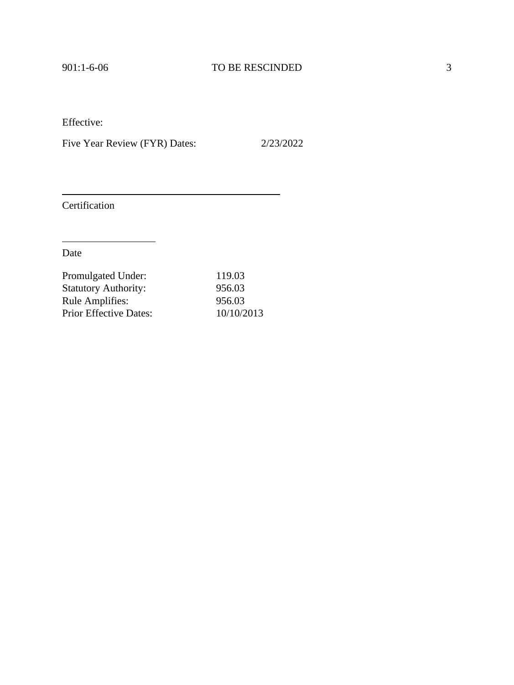Five Year Review (FYR) Dates: 2/23/2022

Certification

| Promulgated Under:            | 119.03     |
|-------------------------------|------------|
| <b>Statutory Authority:</b>   | 956.03     |
| <b>Rule Amplifies:</b>        | 956.03     |
| <b>Prior Effective Dates:</b> | 10/10/2013 |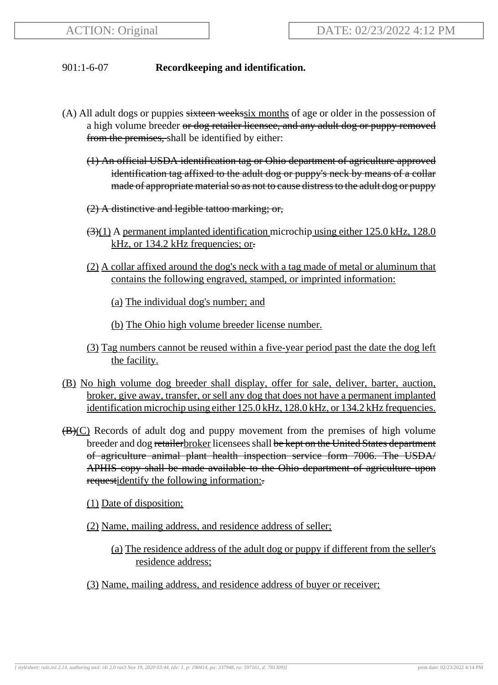# 901:1-6-07 **Recordkeeping and identification.**

- (A) All adult dogs or puppies sixteen weeks ix months of age or older in the possession of a high volume breeder or dog retailer licensee, and any adult dog or puppy removed from the premises, shall be identified by either:
	- (1) An official USDA identification tag or Ohio department of agriculture approved identification tag affixed to the adult dog or puppy's neck by means of a collar made of appropriate material so as not to cause distress to the adult dog or puppy
	- (2) A distinctive and legible tattoo marking; or,
	- $\left(\frac{3}{11}\right)$  A permanent implanted identification microchip using either 125.0 kHz, 128.0 kHz, or 134.2 kHz frequencies; or.
	- (2) A collar affixed around the dog's neck with a tag made of metal or aluminum that contains the following engraved, stamped, or imprinted information:

(a) The individual dog's number; and

- (b) The Ohio high volume breeder license number.
- (3) Tag numbers cannot be reused within a five-year period past the date the dog left the facility.
- (B) No high volume dog breeder shall display, offer for sale, deliver, barter, auction, broker, give away, transfer, or sell any dog that does not have a permanent implanted identification microchip using either 125.0 kHz, 128.0 kHz, or 134.2 kHz frequencies.
- $\bigoplus$  (C) Records of adult dog and puppy movement from the premises of high volume breeder and dog retailer broker licensees shall be kept on the United States department of agriculture animal plant health inspection service form 7006. The USDA/ APHIS copy shall be made available to the Ohio department of agriculture upon requestidentify the following information:

(1) Date of disposition;

- (2) Name, mailing address, and residence address of seller;
	- (a) The residence address of the adult dog or puppy if different from the seller's residence address;
- (3) Name, mailing address, and residence address of buyer or receiver;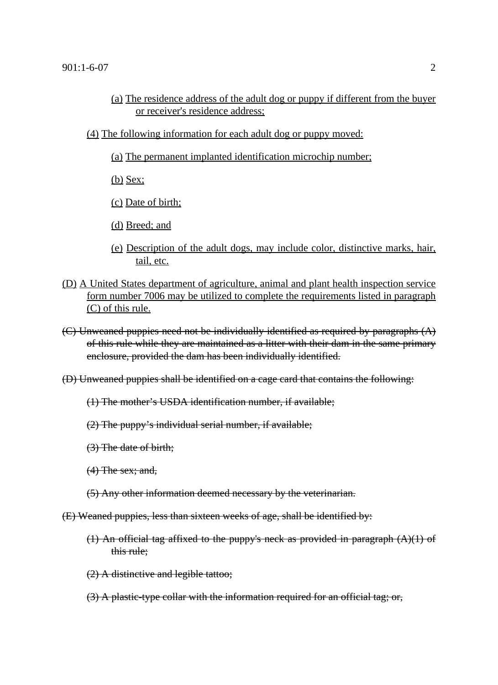- (a) The residence address of the adult dog or puppy if different from the buyer or receiver's residence address;
- (4) The following information for each adult dog or puppy moved:
	- (a) The permanent implanted identification microchip number;
	- (b) Sex;
	- (c) Date of birth;
	- (d) Breed; and
	- (e) Description of the adult dogs, may include color, distinctive marks, hair, tail, etc.
- (D) A United States department of agriculture, animal and plant health inspection service form number 7006 may be utilized to complete the requirements listed in paragraph (C) of this rule.
- (C) Unweaned puppies need not be individually identified as required by paragraphs (A) of this rule while they are maintained as a litter with their dam in the same primary enclosure, provided the dam has been individually identified.
- (D) Unweaned puppies shall be identified on a cage card that contains the following:
	- (1) The mother's USDA identification number, if available;
	- (2) The puppy's individual serial number, if available;
	- (3) The date of birth;
	- $(4)$  The sex; and,
	- (5) Any other information deemed necessary by the veterinarian.
- (E) Weaned puppies, less than sixteen weeks of age, shall be identified by:
	- (1) An official tag affixed to the puppy's neck as provided in paragraph (A)(1) of this rule;
	- (2) A distinctive and legible tattoo;
	- (3) A plastic-type collar with the information required for an official tag; or,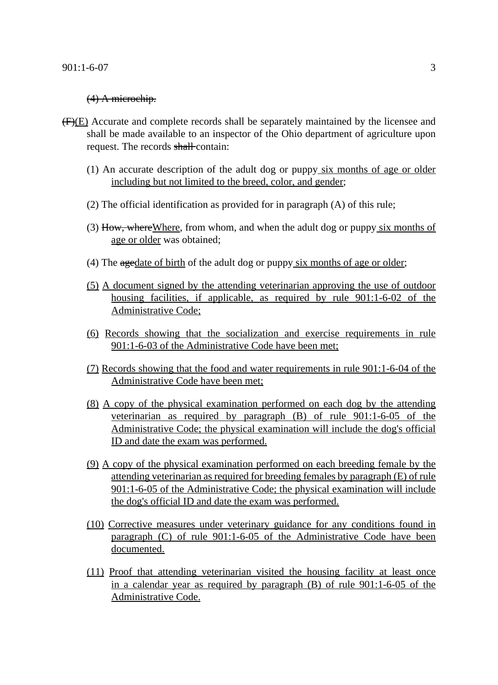#### (4) A microchip.

- (F)(E) Accurate and complete records shall be separately maintained by the licensee and shall be made available to an inspector of the Ohio department of agriculture upon request. The records shall-contain:
	- (1) An accurate description of the adult dog or puppy six months of age or older including but not limited to the breed, color, and gender;
	- (2) The official identification as provided for in paragraph (A) of this rule;
	- (3) How, where Where, from whom, and when the adult dog or puppy six months of age or older was obtained;
	- (4) The  $a$ gedate of birth of the adult dog or puppy six months of age or older;
	- (5) A document signed by the attending veterinarian approving the use of outdoor housing facilities, if applicable, as required by rule 901:1-6-02 of the Administrative Code;
	- (6) Records showing that the socialization and exercise requirements in rule 901:1-6-03 of the Administrative Code have been met;
	- (7) Records showing that the food and water requirements in rule 901:1-6-04 of the Administrative Code have been met;
	- (8) A copy of the physical examination performed on each dog by the attending veterinarian as required by paragraph (B) of rule 901:1-6-05 of the Administrative Code; the physical examination will include the dog's official ID and date the exam was performed.
	- (9) A copy of the physical examination performed on each breeding female by the attending veterinarian as required for breeding females by paragraph (E) of rule 901:1-6-05 of the Administrative Code; the physical examination will include the dog's official ID and date the exam was performed.
	- (10) Corrective measures under veterinary guidance for any conditions found in paragraph (C) of rule 901:1-6-05 of the Administrative Code have been documented.
	- (11) Proof that attending veterinarian visited the housing facility at least once in a calendar year as required by paragraph (B) of rule 901:1-6-05 of the Administrative Code.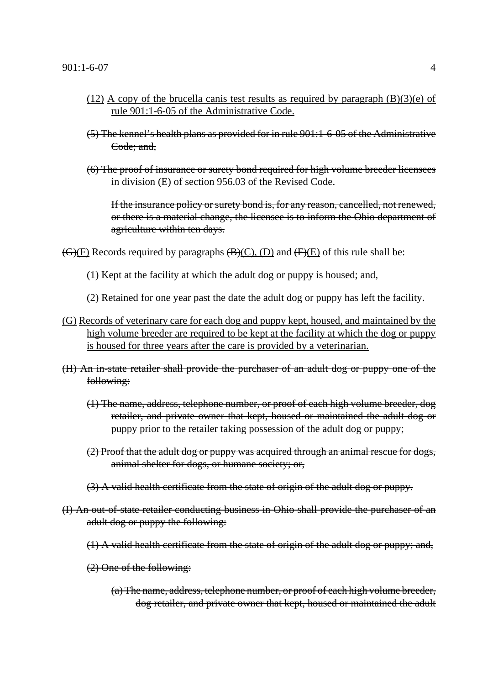- (12) A copy of the brucella canis test results as required by paragraph  $(B)(3)(e)$  of rule 901:1-6-05 of the Administrative Code.
- (5) The kennel's health plans as provided for in rule 901:1-6-05 of the Administrative Code; and,
- (6) The proof of insurance or surety bond required for high volume breeder licensees in division (E) of section 956.03 of the Revised Code.

If the insurance policy or surety bond is, for any reason, cancelled, not renewed, or there is a material change, the licensee is to inform the Ohio department of agriculture within ten days.

 $\overline{(G)(F)}$  Records required by paragraphs  $\overline{(B)(C)}$ ,  $\overline{(D)}$  and  $\overline{(F)(E)}$  of this rule shall be:

- (1) Kept at the facility at which the adult dog or puppy is housed; and,
- (2) Retained for one year past the date the adult dog or puppy has left the facility.
- (G) Records of veterinary care for each dog and puppy kept, housed, and maintained by the high volume breeder are required to be kept at the facility at which the dog or puppy is housed for three years after the care is provided by a veterinarian.
- (H) An in-state retailer shall provide the purchaser of an adult dog or puppy one of the following:
	- (1) The name, address, telephone number, or proof of each high volume breeder, dog retailer, and private owner that kept, housed or maintained the adult dog or puppy prior to the retailer taking possession of the adult dog or puppy;
	- (2) Proof that the adult dog or puppy was acquired through an animal rescue for dogs, animal shelter for dogs, or humane society; or,
	- (3) A valid health certificate from the state of origin of the adult dog or puppy.
- (I) An out-of-state retailer conducting business in Ohio shall provide the purchaser of an adult dog or puppy the following:
	- (1) A valid health certificate from the state of origin of the adult dog or puppy; and,
	- (2) One of the following:
		- (a) The name, address, telephone number, or proof of each high volume breeder, dog retailer, and private owner that kept, housed or maintained the adult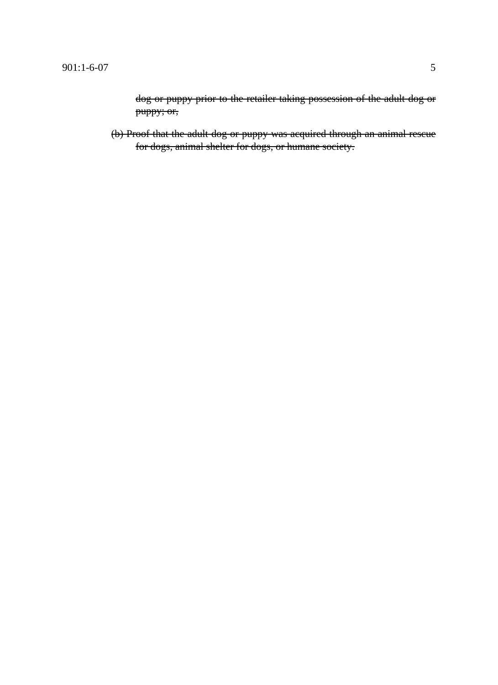dog or puppy prior to the retailer taking possession of the adult dog or puppy; or,

(b) Proof that the adult dog or puppy was acquired through an animal rescue for dogs, animal shelter for dogs, or humane society.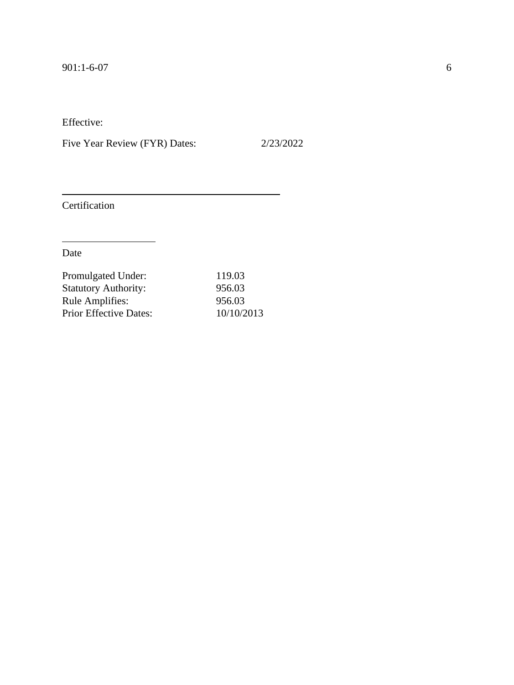Five Year Review (FYR) Dates: 2/23/2022

Certification

| Promulgated Under:            | 119.03     |
|-------------------------------|------------|
| <b>Statutory Authority:</b>   | 956.03     |
| <b>Rule Amplifies:</b>        | 956.03     |
| <b>Prior Effective Dates:</b> | 10/10/2013 |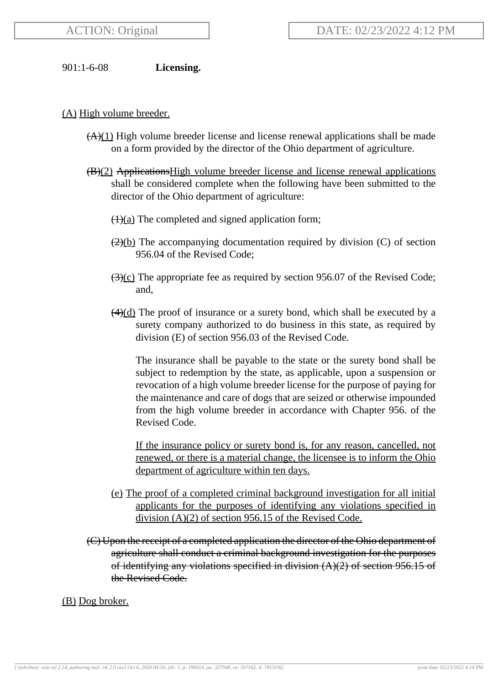901:1-6-08 **Licensing.**

## (A) High volume breeder.

- $(A)(1)$  High volume breeder license and license renewal applications shall be made on a form provided by the director of the Ohio department of agriculture.
- (B)(2) ApplicationsHigh volume breeder license and license renewal applications shall be considered complete when the following have been submitted to the director of the Ohio department of agriculture:
	- $\left(\frac{1}{a}\right)$  The completed and signed application form;
	- $\left(\frac{2}{b}\right)$  The accompanying documentation required by division (C) of section 956.04 of the Revised Code;
	- $\left(\frac{3}{2}\right)$  The appropriate fee as required by section 956.07 of the Revised Code; and,
	- $\left(\frac{4}{d}\right)$  The proof of insurance or a surety bond, which shall be executed by a surety company authorized to do business in this state, as required by division (E) of section 956.03 of the Revised Code.

The insurance shall be payable to the state or the surety bond shall be subject to redemption by the state, as applicable, upon a suspension or revocation of a high volume breeder license for the purpose of paying for the maintenance and care of dogs that are seized or otherwise impounded from the high volume breeder in accordance with Chapter 956. of the Revised Code.

If the insurance policy or surety bond is, for any reason, cancelled, not renewed, or there is a material change, the licensee is to inform the Ohio department of agriculture within ten days.

- (e) The proof of a completed criminal background investigation for all initial applicants for the purposes of identifying any violations specified in division (A)(2) of section 956.15 of the Revised Code.
- (C) Upon the receipt of a completed application the director of the Ohio department of agriculture shall conduct a criminal background investigation for the purposes of identifying any violations specified in division  $(A)(2)$  of section 956.15 of the Revised Code.

### (B) Dog broker.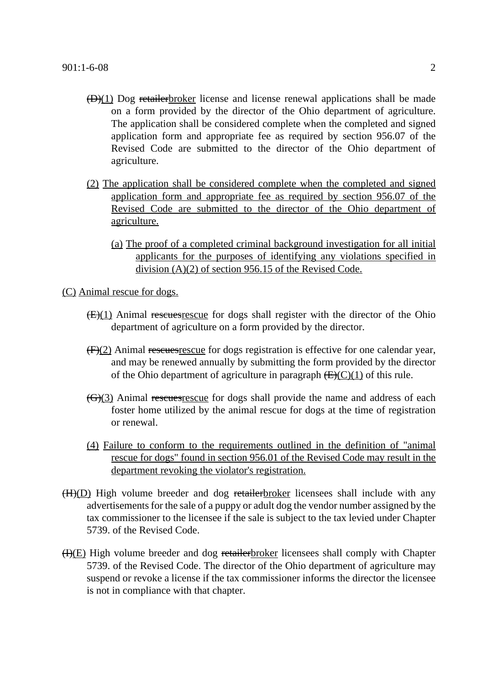- $(D)(1)$  Dog retailer broker license and license renewal applications shall be made on a form provided by the director of the Ohio department of agriculture. The application shall be considered complete when the completed and signed application form and appropriate fee as required by section 956.07 of the Revised Code are submitted to the director of the Ohio department of agriculture.
- (2) The application shall be considered complete when the completed and signed application form and appropriate fee as required by section 956.07 of the Revised Code are submitted to the director of the Ohio department of agriculture.
	- (a) The proof of a completed criminal background investigation for all initial applicants for the purposes of identifying any violations specified in division (A)(2) of section 956.15 of the Revised Code.

(C) Animal rescue for dogs.

- $(E)(1)$  Animal resemest escue for dogs shall register with the director of the Ohio department of agriculture on a form provided by the director.
- $(F)(2)$  Animal reseurces rescues for dogs registration is effective for one calendar year, and may be renewed annually by submitting the form provided by the director of the Ohio department of agriculture in paragraph  $(E)(C)(1)$  of this rule.
- (G)(3) Animal reseues rescue for dogs shall provide the name and address of each foster home utilized by the animal rescue for dogs at the time of registration or renewal.
- (4) Failure to conform to the requirements outlined in the definition of "animal rescue for dogs" found in section 956.01 of the Revised Code may result in the department revoking the violator's registration.
- $(H)(D)$  High volume breeder and dog retailer broker licensees shall include with any advertisements for the sale of a puppy or adult dog the vendor number assigned by the tax commissioner to the licensee if the sale is subject to the tax levied under Chapter 5739. of the Revised Code.
- $(H)(E)$  High volume breeder and dog retailer broker licensees shall comply with Chapter 5739. of the Revised Code. The director of the Ohio department of agriculture may suspend or revoke a license if the tax commissioner informs the director the licensee is not in compliance with that chapter.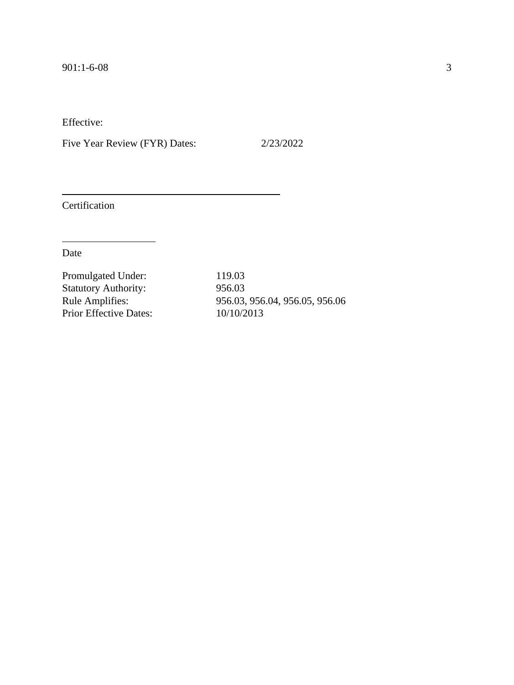Five Year Review (FYR) Dates: 2/23/2022

Certification

Date

Promulgated Under: 119.03 Statutory Authority: 956.03<br>Rule Amplifies: 956.03, Prior Effective Dates:

956.03, 956.04, 956.05, 956.06<br>10/10/2013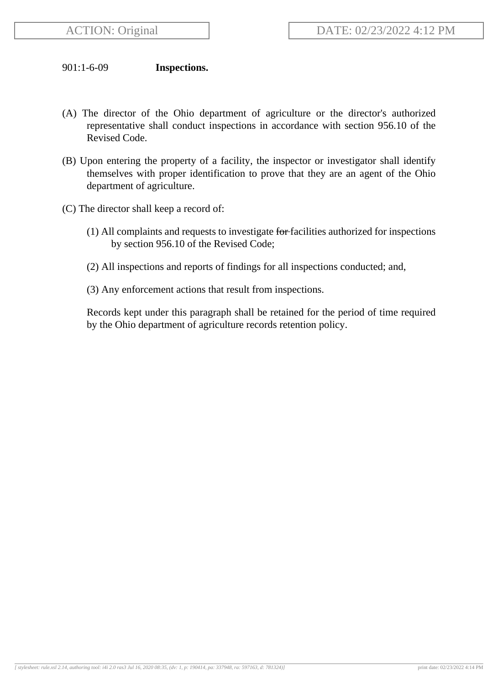## 901:1-6-09 **Inspections.**

- (A) The director of the Ohio department of agriculture or the director's authorized representative shall conduct inspections in accordance with section 956.10 of the Revised Code.
- (B) Upon entering the property of a facility, the inspector or investigator shall identify themselves with proper identification to prove that they are an agent of the Ohio department of agriculture.
- (C) The director shall keep a record of:
	- (1) All complaints and requests to investigate for facilities authorized for inspections by section 956.10 of the Revised Code;
	- (2) All inspections and reports of findings for all inspections conducted; and,
	- (3) Any enforcement actions that result from inspections.

Records kept under this paragraph shall be retained for the period of time required by the Ohio department of agriculture records retention policy.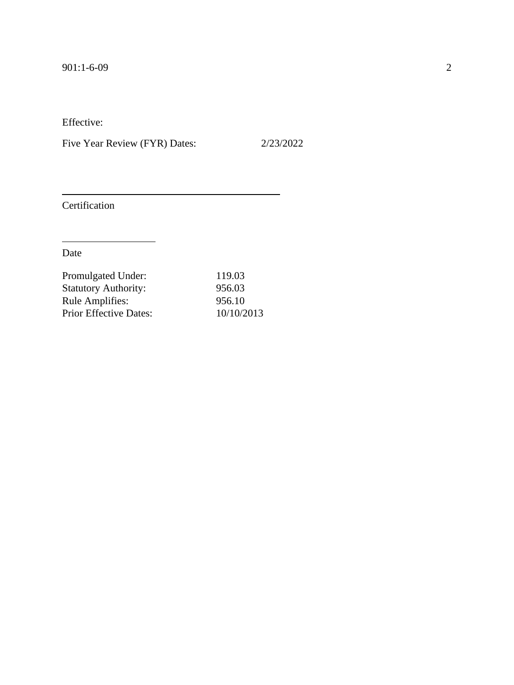Five Year Review (FYR) Dates: 2/23/2022

Certification

| Promulgated Under:            | 119.03     |
|-------------------------------|------------|
| <b>Statutory Authority:</b>   | 956.03     |
| <b>Rule Amplifies:</b>        | 956.10     |
| <b>Prior Effective Dates:</b> | 10/10/2013 |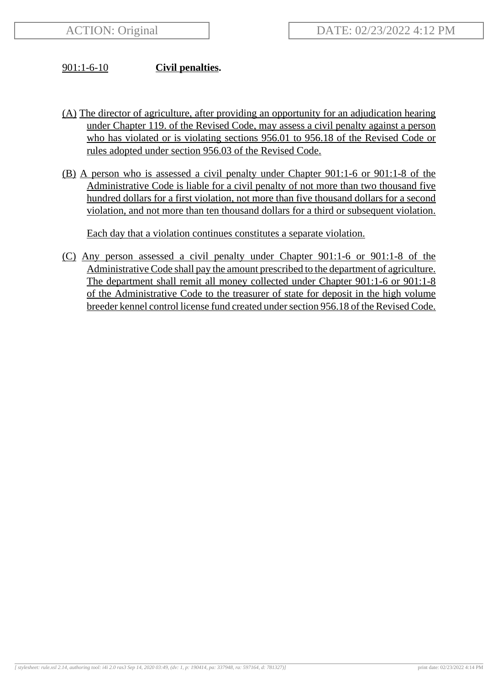## 901:1-6-10 **Civil penalties.**

- (A) The director of agriculture, after providing an opportunity for an adjudication hearing under Chapter 119. of the Revised Code, may assess a civil penalty against a person who has violated or is violating sections 956.01 to 956.18 of the Revised Code or rules adopted under section 956.03 of the Revised Code.
- (B) A person who is assessed a civil penalty under Chapter 901:1-6 or 901:1-8 of the Administrative Code is liable for a civil penalty of not more than two thousand five hundred dollars for a first violation, not more than five thousand dollars for a second violation, and not more than ten thousand dollars for a third or subsequent violation.

Each day that a violation continues constitutes a separate violation.

(C) Any person assessed a civil penalty under Chapter 901:1-6 or 901:1-8 of the Administrative Code shall pay the amount prescribed to the department of agriculture. The department shall remit all money collected under Chapter 901:1-6 or 901:1-8 of the Administrative Code to the treasurer of state for deposit in the high volume breeder kennel control license fund created under section 956.18 of the Revised Code.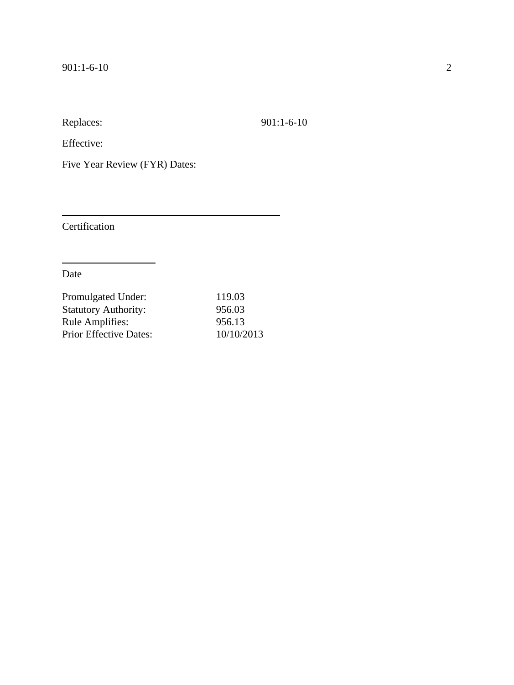Replaces: 901:1-6-10

Effective:

Five Year Review (FYR) Dates:

Certification

Date

| 119.03     |
|------------|
| 956.03     |
| 956.13     |
| 10/10/2013 |
|            |

 $\overline{\phantom{a}}$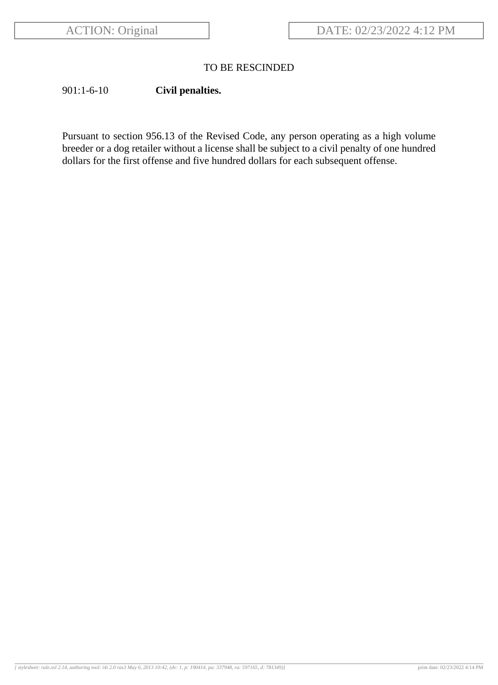# TO BE RESCINDED

# 901:1-6-10 **Civil penalties.**

Pursuant to section 956.13 of the Revised Code, any person operating as a high volume breeder or a dog retailer without a license shall be subject to a civil penalty of one hundred dollars for the first offense and five hundred dollars for each subsequent offense.